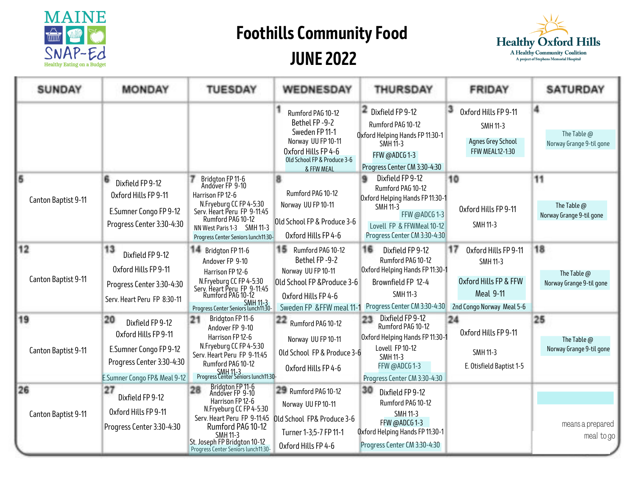

## **Foothills Community Food JUNE 2022**



| <b>SUNDAY</b>             | <b>MONDAY</b>                                                                                                                         | <b>TUESDAY</b>                                                                                                                                                                                                                         | WEDNESDAY                                                                                                                                            | <b>THURSDAY</b>                                                                                                                                                                | <b>FRIDAY</b>                                                                                                           | <b>SATURDAY</b>                               |
|---------------------------|---------------------------------------------------------------------------------------------------------------------------------------|----------------------------------------------------------------------------------------------------------------------------------------------------------------------------------------------------------------------------------------|------------------------------------------------------------------------------------------------------------------------------------------------------|--------------------------------------------------------------------------------------------------------------------------------------------------------------------------------|-------------------------------------------------------------------------------------------------------------------------|-----------------------------------------------|
|                           |                                                                                                                                       |                                                                                                                                                                                                                                        | Rumford PAG 10-12<br>Bethel FP-9-2<br>Sweden FP 11-1<br>Norway UU FP 10-11<br>Oxford Hills FP 4-6<br>Old School FP & Produce 3-6<br>& FFW MEAL       | $\blacksquare$ Dixfield FP 9-12<br>Rumford PAG 10-12<br>Oxford Helping Hands FP 11:30-1<br><b>SMH 11-3</b><br>FFW @ADCG1-3<br>Progress Center CM 3:30-4:30                     | Oxford Hills FP 9-11<br><b>SMH 11-3</b><br>Agnes Grey School<br><b>FFW MEAL12-1:30</b>                                  | 4<br>The Table @<br>Norway Grange 9-til gone  |
| 6<br>Canton Baptist 9-11  | 6<br>Dixfield FP 9-12<br>Oxford Hills FP 9-11<br>E.Sumner Congo FP 9-12<br>Progress Center 3:30-4:30                                  | Bridgton FP 11-6<br>Andover FP 9-10<br>Harrison FP 12-6<br>N.Fryeburg CC FP 4-5:30<br>Serv. Heart Peru FP 9-11:45<br>Rumford PAG 10-12<br>NN West Paris 1-3 SMH 11-3<br>Progress Center Seniors lunch11:30-                            | 8<br>Rumford PAG 10-12<br>Norway UU FP 10-11<br>Old School FP & Produce 3-6<br>Oxford Hills FP 4-6                                                   | Dixfield FP 9-12<br>٠<br>Rumford PAG 10-12<br>Oxford Helping Hands FP 11:30-1<br><b>SMH 11-3</b><br>FFW @ADCG 1-3<br>Lovell FP & FFWMeal 10-12<br>Progress Center CM 3:30-4:30 | 10<br>Oxford Hills FP 9-11<br><b>SMH 11-3</b>                                                                           | 11<br>The Table @<br>Norway Grange 9-til gone |
| 12<br>Canton Baptist 9-11 | 13<br>Dixfield FP 9-12<br>Oxford Hills FP 9-11<br>Progress Center 3:30-4:30<br>Serv. Heart Peru FP 8:30-11                            | <b>14</b> Bridgton FP 11-6<br>Andover FP 9-10<br>Harrison FP 12-6<br>N.Fryeburg CC FP 4-5:30<br>Serv. Heart Peru FP 9-11:45<br>Rumford PAG 10-12<br>SMH 11-3<br>Progress Center Seniors lunch11:30-                                    | <b>15</b> Rumford PAG 10-12<br>Bethel FP-9-2<br>Norway UU FP 10-11<br>Old School FP & Produce 3-6<br>Oxford Hills FP 4-6<br>Sweden FP &FFW meal 11-1 | 16<br>Dixfield FP 9-12<br>Rumford PAG 10-12<br>Oxford Helping Hands FP 11:30-1<br>Brownfield FP 12-4<br><b>SMH 11-3</b><br>Progress Center CM 3:30-4:30                        | 17<br>Oxford Hills FP 9-11<br><b>SMH 11-3</b><br>Oxford Hills FP & FFW<br><b>Meal 9-11</b><br>2nd Congo Norway Meal 5-6 | 18<br>The Table @<br>Norway Grange 9-til gone |
| 19<br>Canton Baptist 9-11 | 20<br>Dixfield FP 9-12<br>Oxford Hills FP 9-11<br>E.Sumner Congo FP 9-12<br>Progress Center 3:30-4:30<br>E.Sumner Congo FP& Meal 9-12 | Bridgton FP 11-6<br>21<br>Andover FP 9-10<br>Harrison FP 12-6<br>N.Fryeburg CC FP 4-5:30<br>Serv. Heart Peru FP 9-11:45<br>Rumford PAG 10-12<br>SMH 11-3<br>Progress Center Seniors lunch11:30-                                        | 22<br>Rumford PAG 10-12<br>Norway UU FP 10-11<br>Old School FP & Produce 3-6<br>Oxford Hills FP 4-6                                                  | Dixfield FP 9-12<br>23<br>Rumford PAG 10-12<br>Oxford Helping Hands FP 11:30-1<br>Lovell FP 10-12<br><b>SMH 11-3</b><br>FFW @ADCG 1-3<br>Progress Center CM 3:30-4:30          | 24<br>Oxford Hills FP 9-11<br><b>SMH 11-3</b><br>E. Otisfield Baptist 1-5                                               | 25<br>The Table @<br>Norway Grange 9-til gone |
| 26<br>Canton Baptist 9-11 | 27<br>Dixfield FP 9-12<br>Oxford Hills FP 9-11<br>Progress Center 3:30-4:30                                                           | Bridgton FP 11-6<br>Andover FP 9-10<br>28<br>Harrison FP 12-6<br>N.Fryeburg CC FP 4-5:30<br>Serv. Heart Peru FP 9-11:45<br>Rumford PAG 10-12<br><b>SMH 11-3</b><br>St. Joseph FP Bridgton 10-12<br>Progress Center Seniors lunch11:30- | <b>29</b> Rumford PAG 10-12<br>Norway UU FP 10-11<br>Old School FP& Produce 3-6<br>Turner 1-3;5-7 FP 11-1<br>Oxford Hills FP 4-6                     | 30<br>Dixfield FP 9-12<br>Rumford PAG 10-12<br><b>SMH 11-3</b><br>FFW @ADCG1-3<br>Oxford Helping Hands FP 11:30-1<br>Progress Center CM 3:30-4:30                              |                                                                                                                         | means a prepared<br>meal to go                |